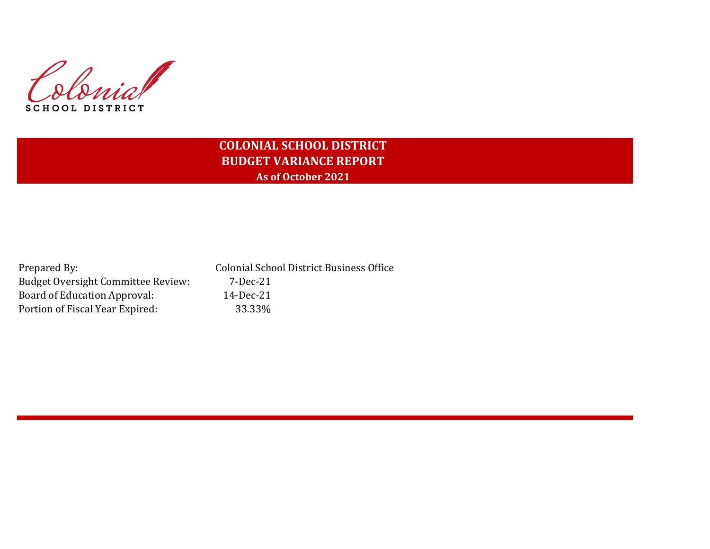Colonial SCHOOL DISTRICT

# **COLONIAL SCHOOL DISTRICT BUDGET VARIANCE REPORT As of October 2021**

| Prepared By:                              | <b>Colonial School District Business Office</b> |
|-------------------------------------------|-------------------------------------------------|
| <b>Budget Oversight Committee Review:</b> | 7-Dec-21                                        |
| Board of Education Approval:              | 14-Dec-21                                       |
| Portion of Fiscal Year Expired:           | 33.33%                                          |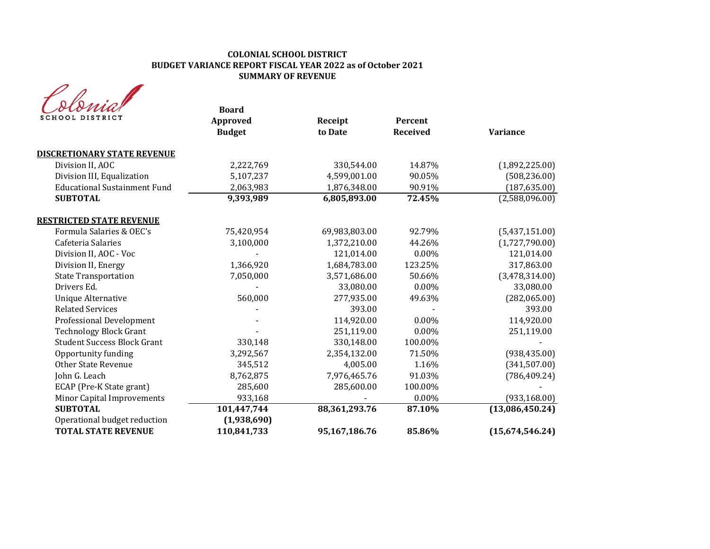## **COLONIAL SCHOOL DISTRICT BUDGET VARIANCE REPORT FISCAL YEAR 2022 as of October 2021 SUMMARY OF REVENUE**

| SCHOOL DISTRICT                                            | <b>Board</b><br><b>Approved</b><br><b>Budget</b> | Receipt<br>to Date | Percent<br><b>Received</b> | <b>Variance</b> |
|------------------------------------------------------------|--------------------------------------------------|--------------------|----------------------------|-----------------|
| <b>DISCRETIONARY STATE REVENUE</b>                         |                                                  |                    |                            |                 |
| Division II, AOC                                           | 2,222,769                                        | 330,544.00         | 14.87%                     | (1,892,225.00)  |
| Division III, Equalization                                 | 5,107,237                                        | 4,599,001.00       | 90.05%                     | (508, 236.00)   |
| <b>Educational Sustainment Fund</b>                        | 2,063,983                                        | 1,876,348.00       | 90.91%                     | (187, 635.00)   |
| <b>SUBTOTAL</b>                                            | 9,393,989                                        | 6,805,893.00       | 72.45%                     | (2,588,096.00)  |
| <b>RESTRICTED STATE REVENUE</b>                            |                                                  |                    |                            |                 |
| Formula Salaries & OEC's                                   | 75,420,954                                       | 69,983,803.00      | 92.79%                     | (5,437,151.00)  |
| Cafeteria Salaries                                         | 3,100,000                                        | 1,372,210.00       | 44.26%                     | (1,727,790.00)  |
| Division II, AOC - Voc                                     |                                                  | 121,014.00         | 0.00%                      | 121,014.00      |
| Division II, Energy                                        | 1,366,920                                        | 1,684,783.00       | 123.25%                    | 317,863.00      |
| <b>State Transportation</b>                                | 7,050,000                                        | 3,571,686.00       | 50.66%                     | (3,478,314.00)  |
| Drivers Ed.                                                |                                                  | 33,080.00          | 0.00%                      | 33,080.00       |
| Unique Alternative                                         | 560,000                                          | 277,935.00         | 49.63%                     | (282,065.00)    |
| <b>Related Services</b>                                    |                                                  | 393.00             |                            | 393.00          |
| Professional Development                                   |                                                  | 114,920.00         | $0.00\%$                   | 114,920.00      |
| <b>Technology Block Grant</b>                              |                                                  | 251,119.00         | $0.00\%$                   | 251,119.00      |
| <b>Student Success Block Grant</b>                         | 330,148                                          | 330,148.00         | 100.00%                    |                 |
| Opportunity funding                                        | 3,292,567                                        | 2,354,132.00       | 71.50%                     | (938, 435.00)   |
| <b>Other State Revenue</b>                                 | 345,512                                          | 4,005.00           | 1.16%                      | (341, 507.00)   |
| John G. Leach                                              | 8,762,875                                        | 7,976,465.76       | 91.03%                     | (786, 409.24)   |
| ECAP (Pre-K State grant)                                   | 285,600                                          | 285,600.00         | 100.00%                    |                 |
| Minor Capital Improvements                                 | 933,168                                          |                    | 0.00%                      | (933, 168.00)   |
| <b>SUBTOTAL</b>                                            | 101,447,744                                      | 88,361,293.76      | 87.10%                     | (13,086,450.24) |
| Operational budget reduction<br><b>TOTAL STATE REVENUE</b> | (1,938,690)<br>110,841,733                       | 95,167,186.76      | 85.86%                     | (15,674,546.24) |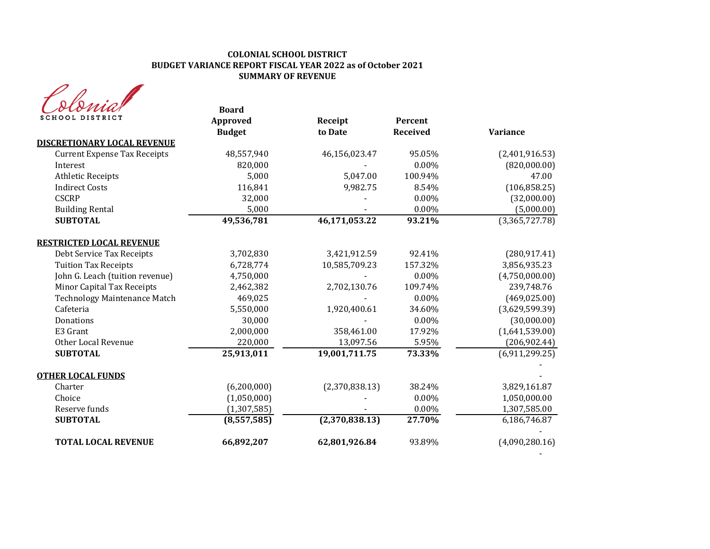# **COLONIAL SCHOOL DISTRICT BUDGET VARIANCE REPORT FISCAL YEAR 2022 as of October 2021 SUMMARY OF REVENUE**

| rna             |  |
|-----------------|--|
| SCHOOL DISTRICT |  |

| sto <i>mu</i> d<br><b>SCHOOL DISTRICT</b> | <b>Board</b><br><b>Approved</b> | Receipt        | Percent         |                 |
|-------------------------------------------|---------------------------------|----------------|-----------------|-----------------|
|                                           | <b>Budget</b>                   | to Date        | <b>Received</b> | <b>Variance</b> |
| <b>DISCRETIONARY LOCAL REVENUE</b>        |                                 |                |                 |                 |
| <b>Current Expense Tax Receipts</b>       | 48,557,940                      | 46,156,023.47  | 95.05%          | (2,401,916.53)  |
| Interest                                  | 820,000                         |                | $0.00\%$        | (820,000.00)    |
| <b>Athletic Receipts</b>                  | 5,000                           | 5,047.00       | 100.94%         | 47.00           |
| <b>Indirect Costs</b>                     | 116,841                         | 9,982.75       | 8.54%           | (106, 858.25)   |
| <b>CSCRP</b>                              | 32,000                          |                | 0.00%           | (32,000.00)     |
| <b>Building Rental</b>                    | 5,000                           |                | 0.00%           | (5,000.00)      |
| <b>SUBTOTAL</b>                           | 49,536,781                      | 46,171,053.22  | 93.21%          | (3,365,727.78)  |
| <b>RESTRICTED LOCAL REVENUE</b>           |                                 |                |                 |                 |
| Debt Service Tax Receipts                 | 3,702,830                       | 3,421,912.59   | 92.41%          | (280, 917.41)   |
| <b>Tuition Tax Receipts</b>               | 6,728,774                       | 10,585,709.23  | 157.32%         | 3,856,935.23    |
| John G. Leach (tuition revenue)           | 4,750,000                       |                | 0.00%           | (4,750,000.00)  |
| Minor Capital Tax Receipts                | 2,462,382                       | 2,702,130.76   | 109.74%         | 239,748.76      |
| <b>Technology Maintenance Match</b>       | 469,025                         |                | $0.00\%$        | (469, 025.00)   |
| Cafeteria                                 | 5,550,000                       | 1,920,400.61   | 34.60%          | (3,629,599.39)  |
| Donations                                 | 30,000                          |                | 0.00%           | (30,000.00)     |
| E3 Grant                                  | 2,000,000                       | 358,461.00     | 17.92%          | (1,641,539.00)  |
| Other Local Revenue                       | 220,000                         | 13,097.56      | 5.95%           | (206, 902.44)   |
| <b>SUBTOTAL</b>                           | 25,913,011                      | 19,001,711.75  | 73.33%          | (6,911,299.25)  |
| <b>OTHER LOCAL FUNDS</b>                  |                                 |                |                 |                 |
| Charter                                   | (6,200,000)                     | (2,370,838.13) | 38.24%          | 3,829,161.87    |
| Choice                                    | (1,050,000)                     |                | 0.00%           | 1,050,000.00    |
| Reserve funds                             | (1, 307, 585)                   |                | $0.00\%$        | 1,307,585.00    |
| <b>SUBTOTAL</b>                           | (8,557,585)                     | (2,370,838.13) | 27.70%          | 6,186,746.87    |
| <b>TOTAL LOCAL REVENUE</b>                | 66,892,207                      | 62,801,926.84  | 93.89%          | (4,090,280.16)  |

- 1990 - 1990 - 1990 - 1990 - 1991 - 1992<br>1992 - 1992 - 1992 - 1992 - 1992 - 1992 - 1992 - 1992 - 1992 - 1992 - 1992 - 1992 - 1992 - 1992 - 1992 - 1992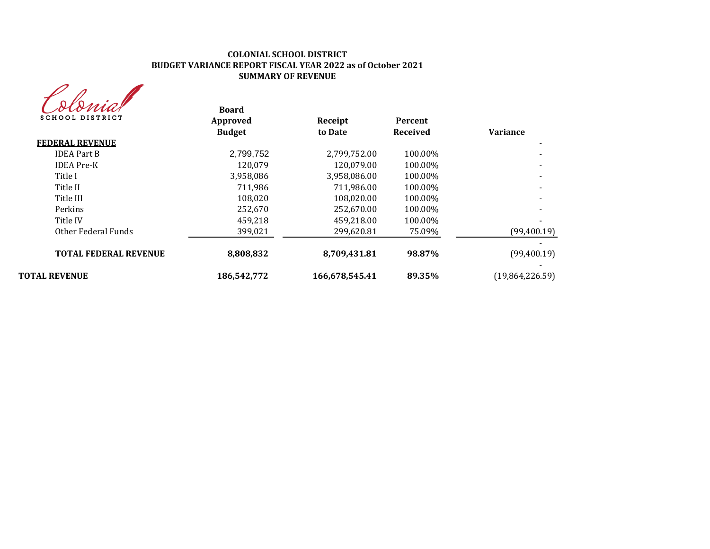## **COLONIAL SCHOOL DISTRICT BUDGET VARIANCE REPORT FISCAL YEAR 2022 as of October 2021 SUMMARY OF REVENUE**



| dismal<br><b>SCHOOL DISTRICT</b> | <b>Board</b><br>Approved | Receipt        | Percent         |                 |
|----------------------------------|--------------------------|----------------|-----------------|-----------------|
|                                  | <b>Budget</b>            | to Date        | <b>Received</b> | <b>Variance</b> |
| <b>FEDERAL REVENUE</b>           |                          |                |                 |                 |
| <b>IDEA Part B</b>               | 2,799,752                | 2,799,752.00   | 100.00%         |                 |
| <b>IDEA</b> Pre-K                | 120,079                  | 120.079.00     | 100.00%         |                 |
| Title I                          | 3,958,086                | 3,958,086.00   | 100.00%         |                 |
| Title II                         | 711,986                  | 711,986.00     | 100.00%         |                 |
| Title III                        | 108,020                  | 108.020.00     | 100.00%         |                 |
| Perkins                          | 252,670                  | 252,670.00     | 100.00%         |                 |
| Title IV                         | 459,218                  | 459,218.00     | 100.00%         |                 |
| Other Federal Funds              | 399,021                  | 299,620.81     | 75.09%          | (99,400.19)     |
|                                  |                          |                |                 |                 |
| <b>TOTAL FEDERAL REVENUE</b>     | 8,808,832                | 8,709,431.81   | 98.87%          | (99,400.19)     |
|                                  |                          |                |                 |                 |
| <b>TOTAL REVENUE</b>             | 186.542.772              | 166,678,545.41 | 89.35%          | (19,864,226.59) |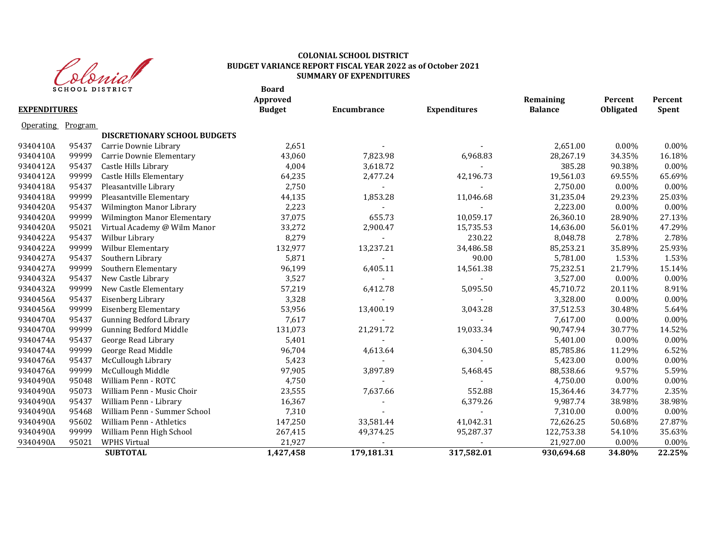

#### **Board COLONIAL SCHOOL DISTRICT BUDGET VARIANCE REPORT FISCAL YEAR 2022 as of October 2021 SUMMARY OF EXPENDITURES**

|                     |         | SCHOOL DISTRICT                     | Board<br>Approved |             |                     | Remaining      | Percent   | Percent      |
|---------------------|---------|-------------------------------------|-------------------|-------------|---------------------|----------------|-----------|--------------|
| <b>EXPENDITURES</b> |         |                                     | <b>Budget</b>     | Encumbrance | <b>Expenditures</b> | <b>Balance</b> | Obligated | <b>Spent</b> |
| <b>Operating</b>    | Program |                                     |                   |             |                     |                |           |              |
|                     |         | <b>DISCRETIONARY SCHOOL BUDGETS</b> |                   |             |                     |                |           |              |
| 9340410A            | 95437   | Carrie Downie Library               | 2,651             |             |                     | 2,651.00       | $0.00\%$  | $0.00\%$     |
| 9340410A            | 99999   | Carrie Downie Elementary            | 43,060            | 7,823.98    | 6,968.83            | 28,267.19      | 34.35%    | 16.18%       |
| 9340412A            | 95437   | Castle Hills Library                | 4,004             | 3,618.72    |                     | 385.28         | 90.38%    | $0.00\%$     |
| 9340412A            | 99999   | Castle Hills Elementary             | 64,235            | 2,477.24    | 42,196.73           | 19,561.03      | 69.55%    | 65.69%       |
| 9340418A            | 95437   | Pleasantville Library               | 2,750             |             |                     | 2,750.00       | 0.00%     | 0.00%        |
| 9340418A            | 99999   | Pleasantville Elementary            | 44,135            | 1,853.28    | 11,046.68           | 31,235.04      | 29.23%    | 25.03%       |
| 9340420A            | 95437   | Wilmington Manor Library            | 2,223             |             |                     | 2,223.00       | 0.00%     | 0.00%        |
| 9340420A            | 99999   | Wilmington Manor Elementary         | 37,075            | 655.73      | 10,059.17           | 26,360.10      | 28.90%    | 27.13%       |
| 9340420A            | 95021   | Virtual Academy @ Wilm Manor        | 33,272            | 2,900.47    | 15,735.53           | 14,636.00      | 56.01%    | 47.29%       |
| 9340422A            | 95437   | Wilbur Library                      | 8,279             |             | 230.22              | 8,048.78       | 2.78%     | 2.78%        |
| 9340422A            | 99999   | Wilbur Elementary                   | 132,977           | 13,237.21   | 34,486.58           | 85,253.21      | 35.89%    | 25.93%       |
| 9340427A            | 95437   | Southern Library                    | 5,871             |             | 90.00               | 5,781.00       | 1.53%     | 1.53%        |
| 9340427A            | 99999   | Southern Elementary                 | 96,199            | 6,405.11    | 14,561.38           | 75,232.51      | 21.79%    | 15.14%       |
| 9340432A            | 95437   | New Castle Library                  | 3,527             |             |                     | 3,527.00       | 0.00%     | $0.00\%$     |
| 9340432A            | 99999   | New Castle Elementary               | 57,219            | 6,412.78    | 5,095.50            | 45,710.72      | 20.11%    | 8.91%        |
| 9340456A            | 95437   | Eisenberg Library                   | 3,328             |             |                     | 3,328.00       | 0.00%     | 0.00%        |
| 9340456A            | 99999   | <b>Eisenberg Elementary</b>         | 53,956            | 13,400.19   | 3,043.28            | 37,512.53      | 30.48%    | 5.64%        |
| 9340470A            | 95437   | <b>Gunning Bedford Library</b>      | 7,617             |             |                     | 7,617.00       | $0.00\%$  | 0.00%        |
| 9340470A            | 99999   | <b>Gunning Bedford Middle</b>       | 131,073           | 21,291.72   | 19,033.34           | 90,747.94      | 30.77%    | 14.52%       |
| 9340474A            | 95437   | George Read Library                 | 5,401             |             |                     | 5,401.00       | 0.00%     | 0.00%        |
| 9340474A            | 99999   | George Read Middle                  | 96,704            | 4,613.64    | 6,304.50            | 85,785.86      | 11.29%    | 6.52%        |
| 9340476A            | 95437   | McCullough Library                  | 5,423             |             |                     | 5,423.00       | $0.00\%$  | $0.00\%$     |
| 9340476A            | 99999   | McCullough Middle                   | 97,905            | 3,897.89    | 5,468.45            | 88,538.66      | 9.57%     | 5.59%        |
| 9340490A            | 95048   | William Penn - ROTC                 | 4,750             |             |                     | 4,750.00       | 0.00%     | 0.00%        |
| 9340490A            | 95073   | William Penn - Music Choir          | 23,555            | 7,637.66    | 552.88              | 15,364.46      | 34.77%    | 2.35%        |
| 9340490A            | 95437   | William Penn - Library              | 16,367            |             | 6,379.26            | 9,987.74       | 38.98%    | 38.98%       |
| 9340490A            | 95468   | William Penn - Summer School        | 7,310             |             |                     | 7,310.00       | 0.00%     | 0.00%        |
| 9340490A            | 95602   | William Penn - Athletics            | 147,250           | 33,581.44   | 41,042.31           | 72,626.25      | 50.68%    | 27.87%       |
| 9340490A            | 99999   | William Penn High School            | 267,415           | 49,374.25   | 95,287.37           | 122,753.38     | 54.10%    | 35.63%       |
| 9340490A            | 95021   | <b>WPHS Virtual</b>                 | 21,927            |             |                     | 21,927.00      | 0.00%     | 0.00%        |
|                     |         | <b>SUBTOTAL</b>                     | 1,427,458         | 179,181.31  | 317,582.01          | 930,694.68     | 34.80%    | 22.25%       |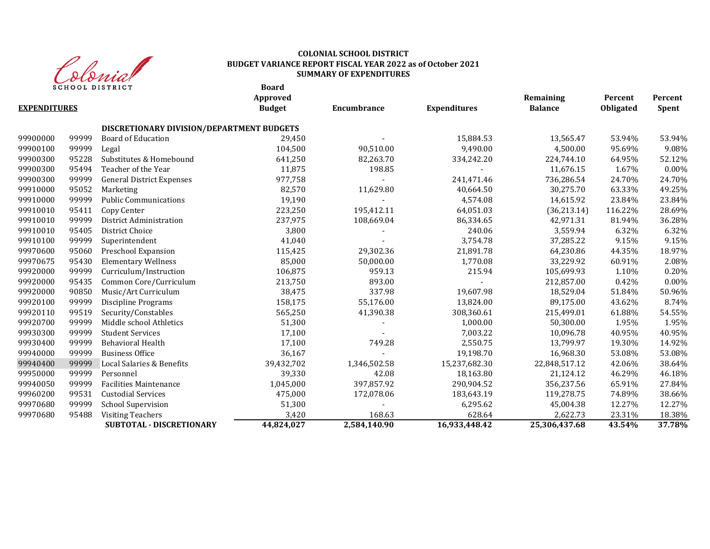

# **COLONIAL SCHOOL DISTRICT BUDGET VARIANCE REPORT FISCAL YEAR 2022 as of October 2021 SUMMARY OF EXPENDITURES**

**Board**

|                     |       |                                           | Approved      |              |                     | Remaining      | Percent   | Percent      |
|---------------------|-------|-------------------------------------------|---------------|--------------|---------------------|----------------|-----------|--------------|
| <b>EXPENDITURES</b> |       |                                           | <b>Budget</b> | Encumbrance  | <b>Expenditures</b> | <b>Balance</b> | Obligated | <b>Spent</b> |
|                     |       | DISCRETIONARY DIVISION/DEPARTMENT BUDGETS |               |              |                     |                |           |              |
| 99900000            | 99999 | <b>Board of Education</b>                 | 29,450        |              | 15,884.53           | 13,565.47      | 53.94%    | 53.94%       |
| 99900100            | 99999 | Legal                                     | 104,500       | 90,510.00    | 9,490.00            | 4,500.00       | 95.69%    | 9.08%        |
| 99900300            | 95228 | Substitutes & Homebound                   | 641,250       | 82,263.70    | 334,242.20          | 224,744.10     | 64.95%    | 52.12%       |
| 99900300            | 95494 | Teacher of the Year                       | 11,875        | 198.85       |                     | 11,676.15      | 1.67%     | $0.00\%$     |
| 99900300            | 99999 | <b>General District Expenses</b>          | 977,758       |              | 241,471.46          | 736,286.54     | 24.70%    | 24.70%       |
| 99910000            | 95052 | Marketing                                 | 82,570        | 11,629.80    | 40,664.50           | 30,275.70      | 63.33%    | 49.25%       |
| 99910000            | 99999 | <b>Public Communications</b>              | 19,190        |              | 4,574.08            | 14,615.92      | 23.84%    | 23.84%       |
| 99910010            | 95411 | Copy Center                               | 223,250       | 195,412.11   | 64,051.03           | (36, 213.14)   | 116.22%   | 28.69%       |
| 99910010            | 99999 | District Administration                   | 237,975       | 108,669.04   | 86,334.65           | 42,971.31      | 81.94%    | 36.28%       |
| 99910010            | 95405 | District Choice                           | 3,800         |              | 240.06              | 3,559.94       | 6.32%     | 6.32%        |
| 99910100            | 99999 | Superintendent                            | 41,040        |              | 3,754.78            | 37,285.22      | 9.15%     | 9.15%        |
| 99970600            | 95060 | Preschool Expansion                       | 115,425       | 29,302.36    | 21,891.78           | 64,230.86      | 44.35%    | 18.97%       |
| 99970675            | 95430 | <b>Elementary Wellness</b>                | 85,000        | 50,000.00    | 1,770.08            | 33,229.92      | 60.91%    | 2.08%        |
| 99920000            | 99999 | Curriculum/Instruction                    | 106,875       | 959.13       | 215.94              | 105,699.93     | 1.10%     | 0.20%        |
| 99920000            | 95435 | Common Core/Curriculum                    | 213,750       | 893.00       |                     | 212,857.00     | 0.42%     | $0.00\%$     |
| 99920000            | 90850 | Music/Art Curriculum                      | 38,475        | 337.98       | 19,607.98           | 18,529.04      | 51.84%    | 50.96%       |
| 99920100            | 99999 | Discipline Programs                       | 158,175       | 55,176.00    | 13,824.00           | 89,175.00      | 43.62%    | 8.74%        |
| 99920110            | 99519 | Security/Constables                       | 565,250       | 41,390.38    | 308,360.61          | 215,499.01     | 61.88%    | 54.55%       |
| 99920700            | 99999 | Middle school Athletics                   | 51,300        |              | 1,000.00            | 50,300.00      | 1.95%     | 1.95%        |
| 99930300            | 99999 | <b>Student Services</b>                   | 17,100        |              | 7,003.22            | 10,096.78      | 40.95%    | 40.95%       |
| 99930400            | 99999 | Behavioral Health                         | 17,100        | 749.28       | 2,550.75            | 13,799.97      | 19.30%    | 14.92%       |
| 99940000            | 99999 | <b>Business Office</b>                    | 36,167        |              | 19,198.70           | 16,968.30      | 53.08%    | 53.08%       |
| 99940400            | 99999 | Local Salaries & Benefits                 | 39,432,702    | 1,346,502.58 | 15,237,682.30       | 22,848,517.12  | 42.06%    | 38.64%       |
| 99950000            | 99999 | Personnel                                 | 39,330        | 42.08        | 18,163.80           | 21,124.12      | 46.29%    | 46.18%       |
| 99940050            | 99999 | <b>Facilities Maintenance</b>             | 1,045,000     | 397,857.92   | 290,904.52          | 356,237.56     | 65.91%    | 27.84%       |
| 99960200            | 99531 | <b>Custodial Services</b>                 | 475,000       | 172,078.06   | 183,643.19          | 119,278.75     | 74.89%    | 38.66%       |
| 99970680            | 99999 | <b>School Supervision</b>                 | 51,300        |              | 6,295.62            | 45,004.38      | 12.27%    | 12.27%       |
| 99970680            | 95488 | <b>Visiting Teachers</b>                  | 3,420         | 168.63       | 628.64              | 2,622.73       | 23.31%    | 18.38%       |
|                     |       | <b>SUBTOTAL - DISCRETIONARY</b>           | 44,824,027    | 2,584,140.90 | 16,933,448.42       | 25,306,437.68  | 43.54%    | 37.78%       |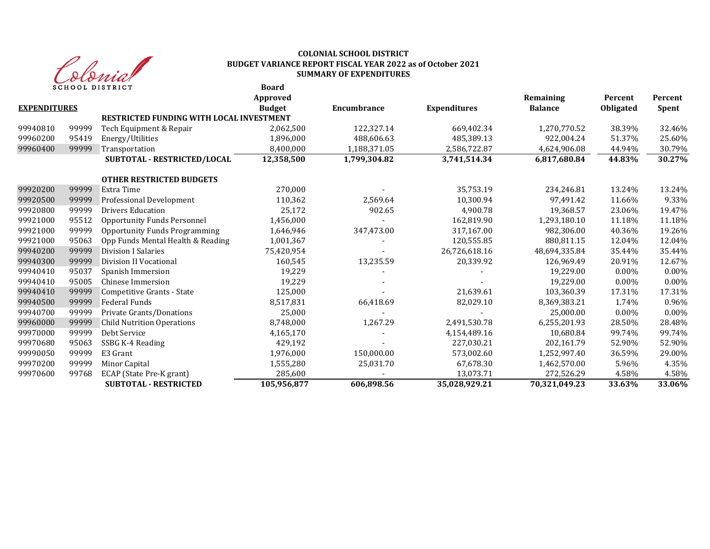

#### **Board COLONIAL SCHOOL DISTRICT BUDGET VARIANCE REPORT FISCAL YEAR 2022 as of October 2021 SUMMARY OF EXPENDITURES**

|                     |       | SCHOOL DISIKICI                                 | boaru<br>Approved |                    |                     | Remaining      | Percent   | Percent      |
|---------------------|-------|-------------------------------------------------|-------------------|--------------------|---------------------|----------------|-----------|--------------|
| <b>EXPENDITURES</b> |       |                                                 | <b>Budget</b>     | <b>Encumbrance</b> | <b>Expenditures</b> | <b>Balance</b> | Obligated | <b>Spent</b> |
|                     |       | <b>RESTRICTED FUNDING WITH LOCAL INVESTMENT</b> |                   |                    |                     |                |           |              |
| 99940810            | 99999 | Tech Equipment & Repair                         | 2,062,500         | 122,327.14         | 669,402.34          | 1,270,770.52   | 38.39%    | 32.46%       |
| 99960200            | 95419 | Energy/Utilities                                | 1,896,000         | 488,606.63         | 485,389.13          | 922.004.24     | 51.37%    | 25.60%       |
| 99960400            | 99999 | Transportation                                  | 8,400,000         | 1,188,371.05       | 2,586,722.87        | 4,624,906.08   | 44.94%    | 30.79%       |
|                     |       | SUBTOTAL - RESTRICTED/LOCAL                     | 12,358,500        | 1,799,304.82       | 3,741,514.34        | 6,817,680.84   | 44.83%    | 30.27%       |
|                     |       | <b>OTHER RESTRICTED BUDGETS</b>                 |                   |                    |                     |                |           |              |
| 99920200            | 99999 | Extra Time                                      | 270,000           |                    | 35,753.19           | 234,246.81     | 13.24%    | 13.24%       |
| 99920500            | 99999 | Professional Development                        | 110,362           | 2,569.64           | 10,300.94           | 97,491.42      | 11.66%    | 9.33%        |
| 99920800            | 99999 | <b>Drivers Education</b>                        | 25,172            | 902.65             | 4,900.78            | 19,368.57      | 23.06%    | 19.47%       |
| 99921000            | 95512 | <b>Opportunity Funds Personnel</b>              | 1,456,000         |                    | 162,819.90          | 1,293,180.10   | 11.18%    | 11.18%       |
| 99921000            | 99999 | <b>Opportunity Funds Programming</b>            | 1,646,946         | 347,473.00         | 317,167.00          | 982,306.00     | 40.36%    | 19.26%       |
| 99921000            | 95063 | Opp Funds Mental Health & Reading               | 1,001,367         |                    | 120,555.85          | 880,811.15     | 12.04%    | 12.04%       |
| 99940200            | 99999 | <b>Division I Salaries</b>                      | 75,420,954        |                    | 26,726,618.16       | 48,694,335.84  | 35.44%    | 35.44%       |
| 99940300            | 99999 | Division II Vocational                          | 160,545           | 13,235.59          | 20,339.92           | 126,969.49     | 20.91%    | 12.67%       |
| 99940410            | 95037 | Spanish Immersion                               | 19,229            |                    |                     | 19,229.00      | $0.00\%$  | $0.00\%$     |
| 99940410            | 95005 | Chinese Immersion                               | 19,229            |                    |                     | 19,229.00      | $0.00\%$  | $0.00\%$     |
| 99940410            | 99999 | Competitive Grants - State                      | 125,000           |                    | 21,639.61           | 103,360.39     | 17.31%    | 17.31%       |
| 99940500            | 99999 | Federal Funds                                   | 8,517,831         | 66,418.69          | 82,029.10           | 8,369,383.21   | 1.74%     | 0.96%        |
| 99940700            | 99999 | Private Grants/Donations                        | 25,000            |                    |                     | 25,000.00      | $0.00\%$  | 0.00%        |
| 99960000            | 99999 | <b>Child Nutrition Operations</b>               | 8,748,000         | 1,267.29           | 2,491,530.78        | 6,255,201.93   | 28.50%    | 28.48%       |
| 99970000            | 99999 | Debt Service                                    | 4,165,170         |                    | 4,154,489.16        | 10,680.84      | 99.74%    | 99.74%       |
| 99970680            | 95063 | SSBG K-4 Reading                                | 429,192           |                    | 227,030.21          | 202,161.79     | 52.90%    | 52.90%       |
| 99990050            | 99999 | E3 Grant                                        | 1,976,000         | 150,000.00         | 573,002.60          | 1,252,997.40   | 36.59%    | 29.00%       |
| 99970200            | 99999 | Minor Capital                                   | 1,555,280         | 25,031.70          | 67,678.30           | 1,462,570.00   | 5.96%     | 4.35%        |
| 99970600            | 99768 | ECAP (State Pre-K grant)                        | 285,600           |                    | 13,073.71           | 272,526.29     | 4.58%     | 4.58%        |
|                     |       | <b>SUBTOTAL - RESTRICTED</b>                    | 105,956,877       | 606,898.56         | 35,028,929.21       | 70,321,049.23  | 33.63%    | 33.06%       |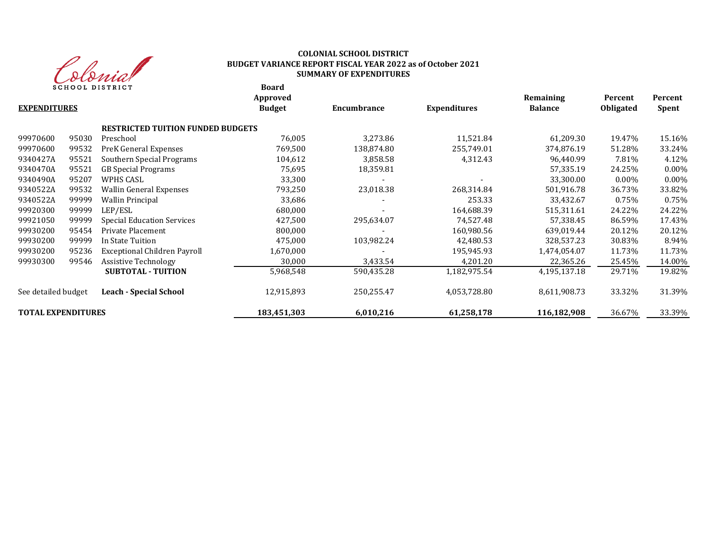

# **COLONIAL SCHOOL DISTRICT BUDGET VARIANCE REPORT FISCAL YEAR 2022 as of October 2021 SUMMARY OF EXPENDITURES**

**Board**

| <b>EXPENDITURES</b>       |       |                                          | Approved<br><b>Budget</b> | Encumbrance | <b>Expenditures</b> | Remaining<br><b>Balance</b> | Percent<br><b>Obligated</b> | Percent<br><b>Spent</b> |
|---------------------------|-------|------------------------------------------|---------------------------|-------------|---------------------|-----------------------------|-----------------------------|-------------------------|
|                           |       | <b>RESTRICTED TUITION FUNDED BUDGETS</b> |                           |             |                     |                             |                             |                         |
| 99970600                  | 95030 | Preschool                                | 76,005                    | 3,273.86    | 11,521.84           | 61,209.30                   | 19.47%                      | 15.16%                  |
| 99970600                  | 99532 | PreK General Expenses                    | 769,500                   | 138,874.80  | 255,749.01          | 374,876.19                  | 51.28%                      | 33.24%                  |
| 9340427A                  | 95521 | Southern Special Programs                | 104,612                   | 3,858.58    | 4,312.43            | 96,440.99                   | 7.81%                       | 4.12%                   |
| 9340470A                  | 95521 | <b>GB</b> Special Programs               | 75,695                    | 18,359.81   |                     | 57,335.19                   | 24.25%                      | $0.00\%$                |
| 9340490A                  | 95207 | <b>WPHS CASL</b>                         | 33,300                    |             |                     | 33.300.00                   | $0.00\%$                    | $0.00\%$                |
| 9340522A                  | 99532 | Wallin General Expenses                  | 793,250                   | 23,018.38   | 268,314.84          | 501,916.78                  | 36.73%                      | 33.82%                  |
| 9340522A                  | 99999 | <b>Wallin Principal</b>                  | 33,686                    |             | 253.33              | 33,432.67                   | 0.75%                       | 0.75%                   |
| 99920300                  | 99999 | LEP/ESL                                  | 680,000                   |             | 164,688.39          | 515,311.61                  | 24.22%                      | 24.22%                  |
| 99921050                  | 99999 | <b>Special Education Services</b>        | 427,500                   | 295,634.07  | 74,527.48           | 57,338.45                   | 86.59%                      | 17.43%                  |
| 99930200                  | 95454 | Private Placement                        | 800,000                   |             | 160,980.56          | 639,019.44                  | 20.12%                      | 20.12%                  |
| 99930200                  | 99999 | In State Tuition                         | 475,000                   | 103,982.24  | 42,480.53           | 328,537.23                  | 30.83%                      | 8.94%                   |
| 99930200                  | 95236 | <b>Exceptional Children Payroll</b>      | 1,670,000                 |             | 195,945.93          | 1,474,054.07                | 11.73%                      | 11.73%                  |
| 99930300                  | 99546 | <b>Assistive Technology</b>              | 30,000                    | 3,433.54    | 4,201.20            | 22,365.26                   | 25.45%                      | 14.00%                  |
|                           |       | <b>SUBTOTAL - TUITION</b>                | 5,968,548                 | 590,435.28  | 1,182,975.54        | 4,195,137.18                | 29.71%                      | 19.82%                  |
| See detailed budget       |       | <b>Leach - Special School</b>            | 12,915,893                | 250,255.47  | 4,053,728.80        | 8,611,908.73                | 33.32%                      | 31.39%                  |
| <b>TOTAL EXPENDITURES</b> |       |                                          | 183,451,303               | 6,010,216   | 61,258,178          | 116,182,908                 | 36.67%                      | 33.39%                  |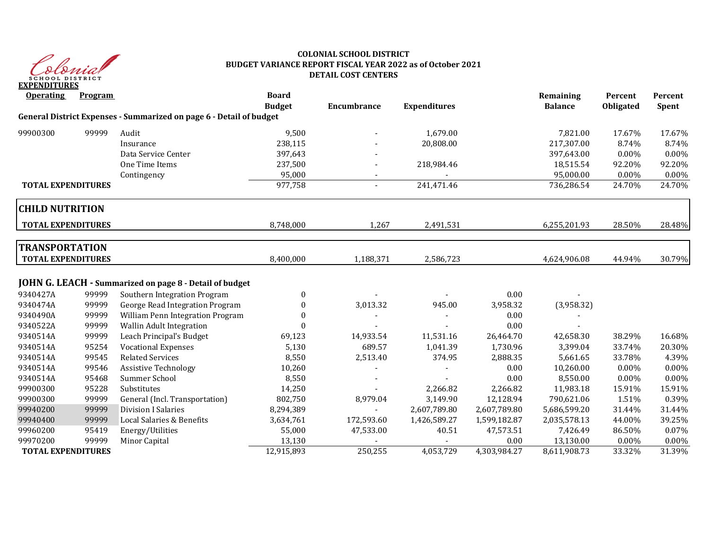

## **COLONIAL SCHOOL DISTRICT BUDGET VARIANCE REPORT FISCAL YEAR 2022 as of October 2021 DETAIL COST CENTERS**

| <b>Operating</b>          | <b>Program</b> |                                                                     | <b>Board</b><br><b>Budget</b> | Encumbrance              | <b>Expenditures</b> |              | Remaining<br><b>Balance</b> | Percent<br><b>Obligated</b> | Percent<br>Spent |
|---------------------------|----------------|---------------------------------------------------------------------|-------------------------------|--------------------------|---------------------|--------------|-----------------------------|-----------------------------|------------------|
|                           |                | General District Expenses - Summarized on page 6 - Detail of budget |                               |                          |                     |              |                             |                             |                  |
| 99900300                  | 99999          | Audit                                                               | 9,500                         |                          | 1,679.00            |              | 7,821.00                    | 17.67%                      | 17.67%           |
|                           |                | Insurance                                                           | 238,115                       |                          | 20,808.00           |              | 217,307.00                  | 8.74%                       | 8.74%            |
|                           |                | Data Service Center                                                 | 397,643                       |                          |                     |              | 397,643.00                  | $0.00\%$                    | 0.00%            |
|                           |                | One Time Items                                                      | 237,500                       |                          | 218,984.46          |              | 18,515.54                   | 92.20%                      | 92.20%           |
|                           |                | Contingency                                                         | 95,000                        |                          |                     |              | 95,000.00                   | 0.00%                       | 0.00%            |
| <b>TOTAL EXPENDITURES</b> |                |                                                                     | 977,758                       | $\overline{\phantom{0}}$ | 241,471.46          |              | 736,286.54                  | 24.70%                      | 24.70%           |
| <b>CHILD NUTRITION</b>    |                |                                                                     |                               |                          |                     |              |                             |                             |                  |
| <b>TOTAL EXPENDITURES</b> |                |                                                                     | 8,748,000                     | 1,267                    | 2,491,531           |              | 6,255,201.93                | 28.50%                      | 28.48%           |
| <b>TRANSPORTATION</b>     |                |                                                                     |                               |                          |                     |              |                             |                             |                  |
| <b>TOTAL EXPENDITURES</b> |                |                                                                     | 8,400,000                     | 1,188,371                | 2,586,723           |              | 4,624,906.08                | 44.94%                      | 30.79%           |
|                           |                | JOHN G. LEACH - Summarized on page 8 - Detail of budget             |                               |                          |                     |              |                             |                             |                  |
| 9340427A                  | 99999          | Southern Integration Program                                        | 0                             |                          |                     | 0.00         |                             |                             |                  |
| 9340474A                  | 99999          | George Read Integration Program                                     | $\boldsymbol{0}$              | 3,013.32                 | 945.00              | 3,958.32     | (3,958.32)                  |                             |                  |
| 9340490A                  | 99999          | William Penn Integration Program                                    | $\Omega$                      |                          |                     | 0.00         |                             |                             |                  |
| 9340522A                  | 99999          | Wallin Adult Integration                                            | $\Omega$                      |                          |                     | 0.00         |                             |                             |                  |
| 9340514A                  | 99999          | Leach Principal's Budget                                            | 69,123                        | 14,933.54                | 11,531.16           | 26,464.70    | 42,658.30                   | 38.29%                      | 16.68%           |
| 9340514A                  | 95254          | <b>Vocational Expenses</b>                                          | 5,130                         | 689.57                   | 1,041.39            | 1,730.96     | 3,399.04                    | 33.74%                      | 20.30%           |
| 9340514A                  | 99545          | <b>Related Services</b>                                             | 8,550                         | 2,513.40                 | 374.95              | 2,888.35     | 5,661.65                    | 33.78%                      | 4.39%            |
| 9340514A                  | 99546          | <b>Assistive Technology</b>                                         | 10,260                        |                          |                     | 0.00         | 10,260.00                   | $0.00\%$                    | 0.00%            |
| 9340514A                  | 95468          | Summer School                                                       | 8,550                         |                          |                     | 0.00         | 8,550.00                    | $0.00\%$                    | 0.00%            |
| 99900300                  | 95228          | Substitutes                                                         | 14,250                        |                          | 2,266.82            | 2,266.82     | 11,983.18                   | 15.91%                      | 15.91%           |
| 99900300                  | 99999          | General (Incl. Transportation)                                      | 802,750                       | 8,979.04                 | 3,149.90            | 12,128.94    | 790,621.06                  | 1.51%                       | 0.39%            |
| 99940200                  | 99999          | <b>Division I Salaries</b>                                          | 8,294,389                     |                          | 2,607,789.80        | 2,607,789.80 | 5,686,599.20                | 31.44%                      | 31.44%           |
| 99940400                  | 99999          | Local Salaries & Benefits                                           | 3,634,761                     | 172,593.60               | 1,426,589.27        | 1,599,182.87 | 2,035,578.13                | 44.00%                      | 39.25%           |
| 99960200                  | 95419          | Energy/Utilities                                                    | 55,000                        | 47,533.00                | 40.51               | 47,573.51    | 7,426.49                    | 86.50%                      | 0.07%            |
| 99970200                  | 99999          | Minor Capital                                                       | 13,130                        |                          |                     | 0.00         | 13,130.00                   | 0.00%                       | 0.00%            |
| <b>TOTAL EXPENDITURES</b> |                |                                                                     | 12,915,893                    | 250,255                  | 4,053,729           | 4,303,984.27 | 8,611,908.73                | 33.32%                      | 31.39%           |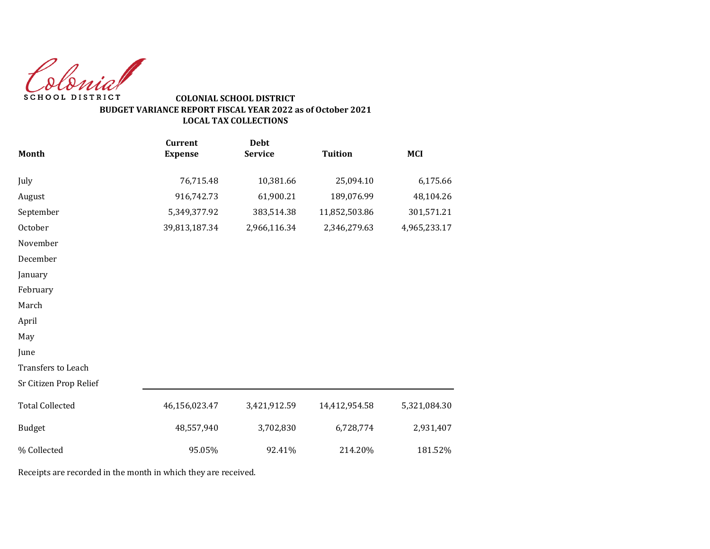Colonial SCHOOL DISTRICT

# **COLONIAL SCHOOL DISTRICT BUDGET VARIANCE REPORT FISCAL YEAR 2022 as of October 2021 LOCAL TAX COLLECTIONS**

|                        | <b>Current</b> | <b>Debt</b>    |                |              |
|------------------------|----------------|----------------|----------------|--------------|
| Month                  | <b>Expense</b> | <b>Service</b> | <b>Tuition</b> | <b>MCI</b>   |
| July                   | 76,715.48      | 10,381.66      | 25,094.10      | 6,175.66     |
| August                 | 916,742.73     | 61,900.21      | 189,076.99     | 48,104.26    |
| September              | 5,349,377.92   | 383,514.38     | 11,852,503.86  | 301,571.21   |
| October                | 39,813,187.34  | 2,966,116.34   | 2,346,279.63   | 4,965,233.17 |
| November               |                |                |                |              |
| December               |                |                |                |              |
| January                |                |                |                |              |
| February               |                |                |                |              |
| March                  |                |                |                |              |
| April                  |                |                |                |              |
| May                    |                |                |                |              |
| June                   |                |                |                |              |
| Transfers to Leach     |                |                |                |              |
| Sr Citizen Prop Relief |                |                |                |              |
| <b>Total Collected</b> | 46,156,023.47  | 3,421,912.59   | 14,412,954.58  | 5,321,084.30 |
| <b>Budget</b>          | 48,557,940     | 3,702,830      | 6,728,774      | 2,931,407    |
| % Collected            | 95.05%         | 92.41%         | 214.20%        | 181.52%      |

Receipts are recorded in the month in which they are received.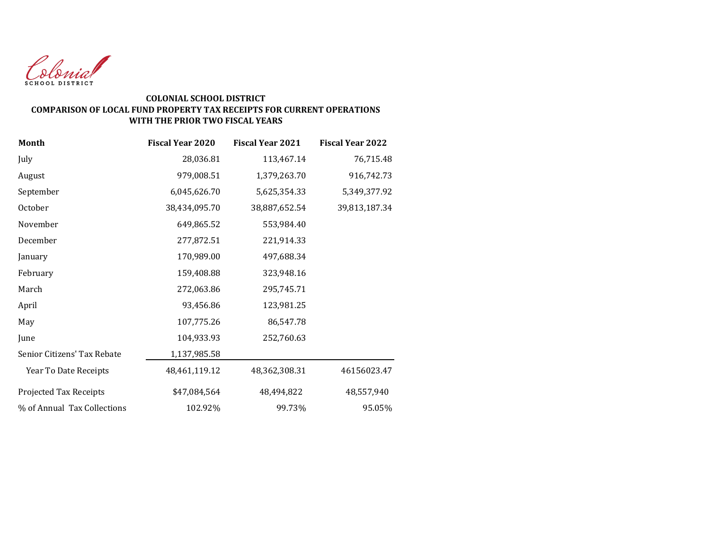

# **COLONIAL SCHOOL DISTRICT COMPARISON OF LOCAL FUND PROPERTY TAX RECEIPTS FOR CURRENT OPERATIONS WITH THE PRIOR TWO FISCAL YEARS**

| <b>Month</b>                | <b>Fiscal Year 2020</b> | <b>Fiscal Year 2021</b> | <b>Fiscal Year 2022</b> |
|-----------------------------|-------------------------|-------------------------|-------------------------|
| July                        | 28,036.81               | 113,467.14              | 76,715.48               |
| August                      | 979,008.51              | 1,379,263.70            | 916,742.73              |
| September                   | 6,045,626.70            | 5,625,354.33            | 5,349,377.92            |
| October                     | 38,434,095.70           | 38,887,652.54           | 39,813,187.34           |
| November                    | 649,865.52              | 553,984.40              |                         |
| December                    | 277,872.51              | 221,914.33              |                         |
| January                     | 170,989.00              | 497,688.34              |                         |
| February                    | 159,408.88              | 323,948.16              |                         |
| March                       | 272,063.86              | 295,745.71              |                         |
| April                       | 93,456.86               | 123,981.25              |                         |
| May                         | 107,775.26              | 86,547.78               |                         |
| June                        | 104,933.93              | 252,760.63              |                         |
| Senior Citizens' Tax Rebate | 1,137,985.58            |                         |                         |
| Year To Date Receipts       | 48,461,119.12           | 48,362,308.31           | 46156023.47             |
| Projected Tax Receipts      | \$47,084,564            | 48,494,822              | 48,557,940              |
| % of Annual Tax Collections | 102.92%                 | 99.73%                  | 95.05%                  |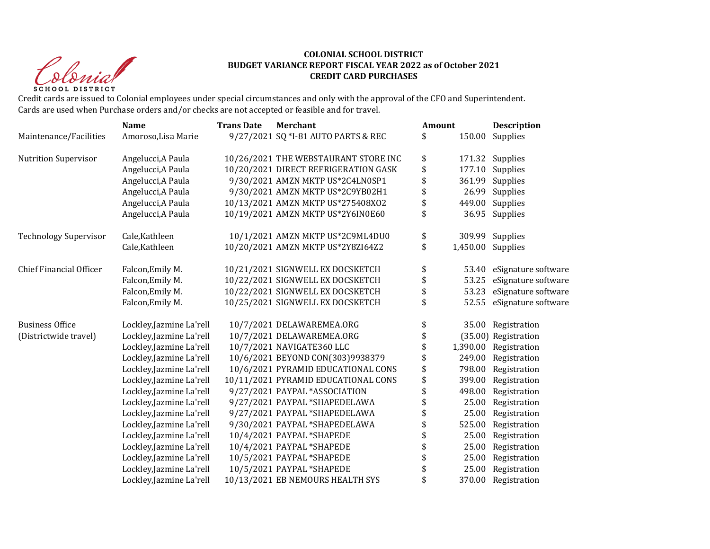Christ **SCHOOL DISTRICT** 

## **COLONIAL SCHOOL DISTRICT BUDGET VARIANCE REPORT FISCAL YEAR 2022 as of October 2021 CREDIT CARD PURCHASES**

Credit cards are issued to Colonial employees under special circumstances and only with the approval of the CFO and Superintendent. Cards are used when Purchase orders and/or checks are not accepted or feasible and for travel.

|                                | <b>Name</b>              | <b>Trans Date</b> | Merchant                             | <b>Amount</b> |          | <b>Description</b>        |
|--------------------------------|--------------------------|-------------------|--------------------------------------|---------------|----------|---------------------------|
| Maintenance/Facilities         | Amoroso, Lisa Marie      |                   | 9/27/2021 SQ *I-81 AUTO PARTS & REC  | \$            | 150.00   | Supplies                  |
| <b>Nutrition Supervisor</b>    | Angelucci, A Paula       |                   | 10/26/2021 THE WEBSTAURANT STORE INC | \$            | 171.32   | Supplies                  |
|                                | Angelucci, A Paula       |                   | 10/20/2021 DIRECT REFRIGERATION GASK | \$            | 177.10   | Supplies                  |
|                                | Angelucci, A Paula       |                   | 9/30/2021 AMZN MKTP US*2C4LN0SP1     | \$            | 361.99   | Supplies                  |
|                                | Angelucci, A Paula       |                   | 9/30/2021 AMZN MKTP US*2C9YB02H1     | \$            | 26.99    | Supplies                  |
|                                | Angelucci, A Paula       |                   | 10/13/2021 AMZN MKTP US*275408X02    | \$            | 449.00   | Supplies                  |
|                                | Angelucci, A Paula       |                   | 10/19/2021 AMZN MKTP US*2Y6IN0E60    | \$            | 36.95    | Supplies                  |
| <b>Technology Supervisor</b>   | Cale, Kathleen           |                   | 10/1/2021 AMZN MKTP US*2C9ML4DU0     | \$            | 309.99   | Supplies                  |
|                                | Cale, Kathleen           |                   | 10/20/2021 AMZN MKTP US*2Y8ZI64Z2    | \$            | 1,450.00 | Supplies                  |
| <b>Chief Financial Officer</b> | Falcon, Emily M.         |                   | 10/21/2021 SIGNWELL EX DOCSKETCH     | \$            |          | 53.40 eSignature software |
|                                | Falcon, Emily M.         |                   | 10/22/2021 SIGNWELL EX DOCSKETCH     | \$            | 53.25    | eSignature software       |
|                                | Falcon, Emily M.         |                   | 10/22/2021 SIGNWELL EX DOCSKETCH     | \$            | 53.23    | eSignature software       |
|                                | Falcon, Emily M.         |                   | 10/25/2021 SIGNWELL EX DOCSKETCH     | \$            | 52.55    | eSignature software       |
| <b>Business Office</b>         | Lockley, Jazmine La'rell |                   | 10/7/2021 DELAWAREMEA.ORG            | \$            | 35.00    | Registration              |
| (Districtwide travel)          | Lockley, Jazmine La'rell |                   | 10/7/2021 DELAWAREMEA.ORG            | \$            |          | (35.00) Registration      |
|                                | Lockley, Jazmine La'rell |                   | 10/7/2021 NAVIGATE360 LLC            |               | 1,390.00 | Registration              |
|                                | Lockley, Jazmine La'rell |                   | 10/6/2021 BEYOND CON(303)9938379     |               | 249.00   | Registration              |
|                                | Lockley, Jazmine La'rell |                   | 10/6/2021 PYRAMID EDUCATIONAL CONS   | \$            | 798.00   | Registration              |
|                                | Lockley, Jazmine La'rell |                   | 10/11/2021 PYRAMID EDUCATIONAL CONS  | \$            | 399.00   | Registration              |
|                                | Lockley, Jazmine La'rell |                   | 9/27/2021 PAYPAL *ASSOCIATION        |               | 498.00   | Registration              |
|                                | Lockley, Jazmine La'rell |                   | 9/27/2021 PAYPAL *SHAPEDELAWA        |               | 25.00    | Registration              |
|                                | Lockley, Jazmine La'rell |                   | 9/27/2021 PAYPAL *SHAPEDELAWA        |               | 25.00    | Registration              |
|                                | Lockley, Jazmine La'rell |                   | 9/30/2021 PAYPAL *SHAPEDELAWA        |               | 525.00   | Registration              |
|                                | Lockley, Jazmine La'rell |                   | 10/4/2021 PAYPAL *SHAPEDE            |               | 25.00    | Registration              |
|                                | Lockley, Jazmine La'rell |                   | 10/4/2021 PAYPAL *SHAPEDE            | \$            | 25.00    | Registration              |
|                                | Lockley, Jazmine La'rell |                   | 10/5/2021 PAYPAL *SHAPEDE            |               | 25.00    | Registration              |
|                                | Lockley, Jazmine La'rell |                   | 10/5/2021 PAYPAL *SHAPEDE            |               | 25.00    | Registration              |
|                                | Lockley, Jazmine La'rell |                   | 10/13/2021 EB NEMOURS HEALTH SYS     |               | 370.00   | Registration              |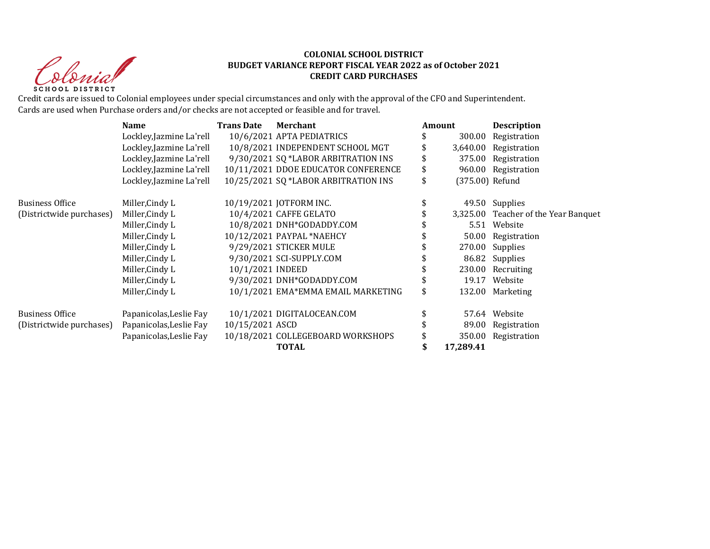Iolegia **SCHOOL DISTRICT** 

## **COLONIAL SCHOOL DISTRICT BUDGET VARIANCE REPORT FISCAL YEAR 2022 as of October 2021 CREDIT CARD PURCHASES**

Credit cards are issued to Colonial employees under special circumstances and only with the approval of the CFO and Superintendent. Cards are used when Purchase orders and/or checks are not accepted or feasible and for travel.

|                          | <b>Name</b>              | <b>Trans Date</b><br>Merchant |                                      | Amount |                 | <b>Description</b>                   |  |
|--------------------------|--------------------------|-------------------------------|--------------------------------------|--------|-----------------|--------------------------------------|--|
|                          | Lockley, Jazmine La'rell |                               | 10/6/2021 APTA PEDIATRICS            |        | 300.00          | Registration                         |  |
|                          | Lockley, Jazmine La'rell |                               | 10/8/2021 INDEPENDENT SCHOOL MGT     |        |                 | 3,640.00 Registration                |  |
|                          | Lockley, Jazmine La'rell |                               | 9/30/2021 SQ *LABOR ARBITRATION INS  |        | 375.00          | Registration                         |  |
|                          | Lockley, Jazmine La'rell |                               | 10/11/2021 DDOE EDUCATOR CONFERENCE  | \$     |                 | 960.00 Registration                  |  |
|                          | Lockley, Jazmine La'rell |                               | 10/25/2021 SQ *LABOR ARBITRATION INS | \$     | (375.00) Refund |                                      |  |
| <b>Business Office</b>   | Miller, Cindy L          |                               | 10/19/2021 JOTFORM INC.              |        |                 | 49.50 Supplies                       |  |
| (Districtwide purchases) | Miller, Cindy L          |                               | 10/4/2021 CAFFE GELATO               |        |                 | 3,325.00 Teacher of the Year Banquet |  |
|                          | Miller, Cindy L          |                               | 10/8/2021 DNH*GODADDY.COM            |        |                 | 5.51 Website                         |  |
|                          | Miller, Cindy L          |                               | 10/12/2021 PAYPAL *NAEHCY            |        |                 | 50.00 Registration                   |  |
|                          | Miller, Cindy L          |                               | 9/29/2021 STICKER MULE               |        |                 | 270.00 Supplies                      |  |
|                          | Miller, Cindy L          |                               | 9/30/2021 SCI-SUPPLY.COM             |        |                 | 86.82 Supplies                       |  |
|                          | Miller, Cindy L          | 10/1/2021 INDEED              |                                      |        |                 | 230.00 Recruiting                    |  |
|                          | Miller, Cindy L          |                               | 9/30/2021 DNH*GODADDY.COM            |        |                 | 19.17 Website                        |  |
|                          | Miller, Cindy L          |                               | 10/1/2021 EMA*EMMA EMAIL MARKETING   | \$     |                 | 132.00 Marketing                     |  |
| <b>Business Office</b>   | Papanicolas, Leslie Fay  |                               | 10/1/2021 DIGITALOCEAN.COM           |        |                 | 57.64 Website                        |  |
| (Districtwide purchases) | Papanicolas, Leslie Fay  | 10/15/2021 ASCD               |                                      |        | 89.00           | Registration                         |  |
|                          | Papanicolas, Leslie Fay  |                               | 10/18/2021 COLLEGEBOARD WORKSHOPS    |        | 350.00          | Registration                         |  |
|                          |                          |                               | <b>TOTAL</b>                         |        | 17,289.41       |                                      |  |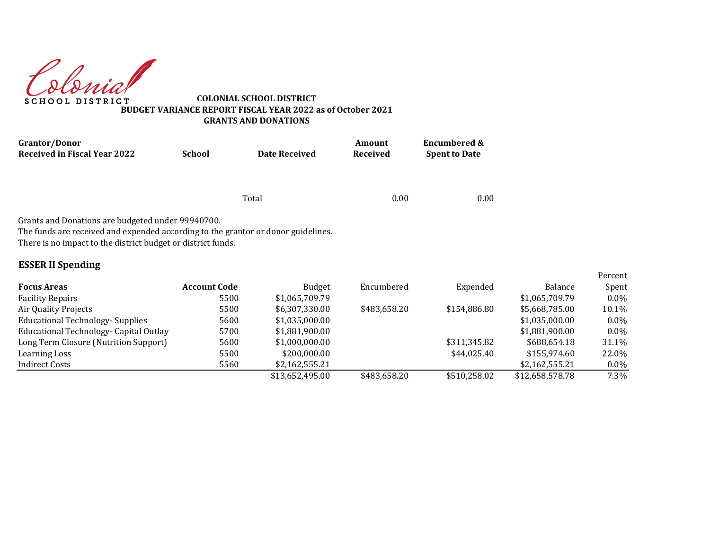donial **SCHOOL DISTRICT** 

**COLONIAL SCHOOL DISTRICT BUDGET VARIANCE REPORT FISCAL YEAR 2022 as of October 2021 GRANTS AND DONATIONS**

| <b>Grantor/Donor</b>                                                                                                                                                                                                               |                     |                      | Amount       | <b>Encumbered &amp;</b> |                |                  |
|------------------------------------------------------------------------------------------------------------------------------------------------------------------------------------------------------------------------------------|---------------------|----------------------|--------------|-------------------------|----------------|------------------|
| <b>Received in Fiscal Year 2022</b>                                                                                                                                                                                                | <b>School</b>       | <b>Date Received</b> | Received     | <b>Spent to Date</b>    |                |                  |
|                                                                                                                                                                                                                                    |                     |                      |              |                         |                |                  |
|                                                                                                                                                                                                                                    |                     | Total                | 0.00         | 0.00                    |                |                  |
| Grants and Donations are budgeted under 99940700.<br>The funds are received and expended according to the grantor or donor guidelines.<br>There is no impact to the district budget or district funds.<br><b>ESSER II Spending</b> |                     |                      |              |                         |                |                  |
| <b>Focus Areas</b>                                                                                                                                                                                                                 | <b>Account Code</b> | <b>Budget</b>        | Encumbered   | Expended                | Balance        | Percent<br>Spent |
| <b>Facility Repairs</b>                                                                                                                                                                                                            | 5500                | \$1,065,709.79       |              |                         | \$1,065,709.79 | $0.0\%$          |
| Air Quality Projects                                                                                                                                                                                                               | 5500                | \$6,307,330.00       | \$483,658.20 | \$154,886.80            | \$5,668,785.00 | 10.1%            |
| <b>Educational Technology- Supplies</b>                                                                                                                                                                                            | 5600                | \$1,035,000.00       |              |                         | \$1,035,000.00 | $0.0\%$          |
| Educational Technology- Capital Outlay                                                                                                                                                                                             | 5700                | \$1,881,900.00       |              |                         | \$1,881,900.00 | $0.0\%$          |
| Long Term Closure (Nutrition Support)                                                                                                                                                                                              | 5600                | \$1,000,000.00       |              | \$311,345.82            | \$688,654.18   | 31.1%            |
| Learning Loss                                                                                                                                                                                                                      | 5500                | \$200,000.00         |              | \$44,025.40             | \$155,974.60   | 22.0%            |

Indirect Costs 5560 \$2,162,555.21 \$2,162,555.21 0.0%

\$13,652,495.00 \$483,658.20 \$510,258.02 \$12,658,578.78 7.3%

Percent Spent